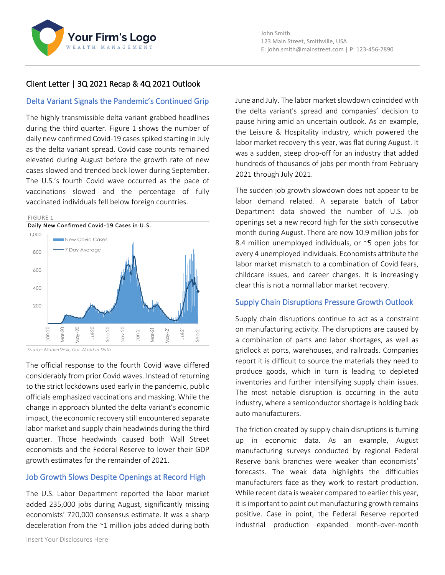## Client Letter | 3Q 2021 Recap & 4Q 2021 Outlook

## Delta Variant Signals the Pandemic's Continued Grip

The highly transmissible delta variant grabbed headlines during the third quarter. Figure 1 shows the number of daily new confirmed Covid-19 cases spiked starting in July as the delta variant spread. Covid case counts remained elevated during August before the growth rate of new cases slowed and trended back lower during September. The U.S.'s fourth Covid wave occurred as the pace of vaccinations slowed and the percentage of fully vaccinated individuals fell below foreign countries.





*Source: MarketDesk, Our World in Data*

The official response to the fourth Covid wave differed considerably from prior Covid waves. Instead of returning to the strict lockdowns used early in the pandemic, public officials emphasized vaccinations and masking. While the change in approach blunted the delta variant's economic impact, the economic recovery still encountered separate labor market and supply chain headwinds during the third quarter. Those headwinds caused both Wall Street economists and the Federal Reserve to lower their GDP growth estimates for the remainder of 2021.

## Job Growth Slows Despite Openings at Record High

The U.S. Labor Department reported the labor market added 235,000 jobs during August, significantly missing economists' 720,000 consensus estimate. It was a sharp deceleration from the  $\sim$ 1 million jobs added during both

June and July. The labor market slowdown coincided with the delta variant's spread and companies' decision to pause hiring amid an uncertain outlook. As an example, the Leisure & Hospitality industry, which powered the labor market recovery this year, was flat during August. It was a sudden, steep drop-off for an industry that added hundreds of thousands of jobs per month from February 2021 through July 2021.

The sudden job growth slowdown does not appear to be labor demand related. A separate batch of Labor Department data showed the number of U.S. job openings set a new record high for the sixth consecutive month during August. There are now 10.9 million jobs for 8.4 million unemployed individuals, or ~5 open jobs for every 4 unemployed individuals. Economists attribute the labor market mismatch to a combination of Covid fears, childcare issues, and career changes. It is increasingly clear this is not a normal labor market recovery.

## Supply Chain Disruptions Pressure Growth Outlook

Supply chain disruptions continue to act as a constraint on manufacturing activity. The disruptions are caused by a combination of parts and labor shortages, as well as gridlock at ports, warehouses, and railroads. Companies report it is difficult to source the materials they need to produce goods, which in turn is leading to depleted inventories and further intensifying supply chain issues. The most notable disruption is occurring in the auto industry, where a semiconductor shortage is holding back auto manufacturers.

The friction created by supply chain disruptions is turning up in economic data. As an example, August manufacturing surveys conducted by regional Federal Reserve bank branches were weaker than economists' forecasts. The weak data highlights the difficulties manufacturers face as they work to restart production. While recent data is weaker compared to earlier this year, it is important to point out manufacturing growth remains positive. Case in point, the Federal Reserve reported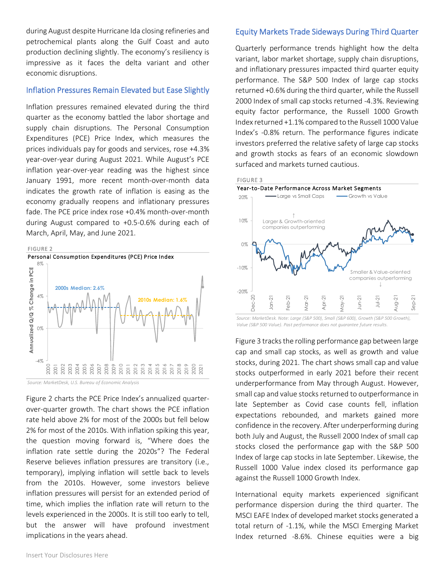during August despite Hurricane Ida closing refineries and petrochemical plants along the Gulf Coast and auto production declining slightly. The economy's resiliency is impressive as it faces the delta variant and other economic disruptions.

## Inflation Pressures Remain Elevated but Ease Slightly

Inflation pressures remained elevated during the third quarter as the economy battled the labor shortage and supply chain disruptions. The Personal Consumption Expenditures (PCE) Price Index, which measures the prices individuals pay for goods and services, rose +4.3% year-over-year during August 2021. While August's PCE inflation year-over-year reading was the highest since January 1991, more recent month-over-month data indicates the growth rate of inflation is easing as the economy gradually reopens and inflationary pressures fade. The PCE price index rose +0.4% month-over-month during August compared to +0.5-0.6% during each of March, April, May, and June 2021.



*Source: MarketDesk, U.S. Bureau of Economic Analysis*

Figure 2 charts the PCE Price Index's annualized quarterover-quarter growth. The chart shows the PCE inflation rate held above 2% for most of the 2000s but fell below 2% for most of the 2010s. With inflation spiking this year, the question moving forward is, "Where does the inflation rate settle during the 2020s"? The Federal Reserve believes inflation pressures are transitory (i.e., temporary), implying inflation will settle back to levels from the 2010s. However, some investors believe inflation pressures will persist for an extended period of time, which implies the inflation rate will return to the levels experienced in the 2000s. It is still too early to tell, but the answer will have profound investment implications in the years ahead.

## Equity Markets Trade Sideways During Third Quarter

Quarterly performance trends highlight how the delta variant, labor market shortage, supply chain disruptions, and inflationary pressures impacted third quarter equity performance. The S&P 500 Index of large cap stocks returned +0.6% during the third quarter, while the Russell 2000 Index of small cap stocks returned -4.3%. Reviewing equity factor performance, the Russell 1000 Growth Index returned +1.1% compared to the Russell 1000 Value Index's -0.8% return. The performance figures indicate investors preferred the relative safety of large cap stocks and growth stocks as fears of an economic slowdown surfaced and markets turned cautious.



*Source: MarketDesk. Note: Large (S&P 500), Small (S&P 600), Growth (S&P 500 Growth), Value (S&P 500 Value). Past performance does not guarantee future results.*

Figure 3 tracks the rolling performance gap between large cap and small cap stocks, as well as growth and value stocks, during 2021. The chart shows small cap and value stocks outperformed in early 2021 before their recent underperformance from May through August. However, small cap and value stocks returned to outperformance in late September as Covid case counts fell, inflation expectations rebounded, and markets gained more confidence in the recovery. After underperforming during both July and August, the Russell 2000 Index of small cap stocks closed the performance gap with the S&P 500 Index of large cap stocks in late September. Likewise, the Russell 1000 Value index closed its performance gap against the Russell 1000 Growth Index.

International equity markets experienced significant performance dispersion during the third quarter. The MSCI EAFE Index of developed market stocks generated a total return of -1.1%, while the MSCI Emerging Market Index returned -8.6%. Chinese equities were a big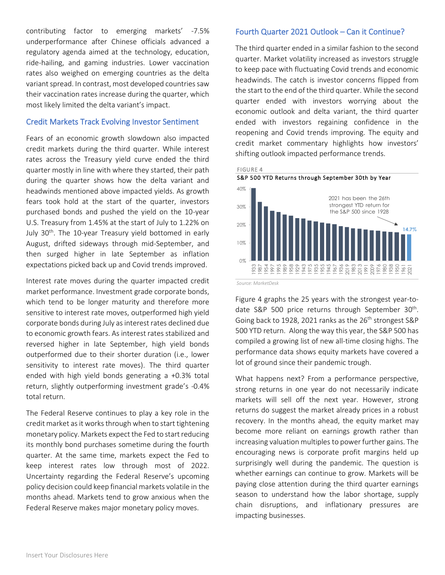contributing factor to emerging markets' -7.5% underperformance after Chinese officials advanced a regulatory agenda aimed at the technology, education, ride-hailing, and gaming industries. Lower vaccination rates also weighed on emerging countries as the delta variant spread. In contrast, most developed countries saw their vaccination rates increase during the quarter, which most likely limited the delta variant's impact.

## Credit Markets Track Evolving Investor Sentiment

Fears of an economic growth slowdown also impacted credit markets during the third quarter. While interest rates across the Treasury yield curve ended the third quarter mostly in line with where they started, their path during the quarter shows how the delta variant and headwinds mentioned above impacted yields. As growth fears took hold at the start of the quarter, investors purchased bonds and pushed the yield on the 10-year U.S. Treasury from 1.45% at the start of July to 1.22% on July 30<sup>th</sup>. The 10-year Treasury yield bottomed in early August, drifted sideways through mid-September, and then surged higher in late September as inflation expectations picked back up and Covid trends improved.

Interest rate moves during the quarter impacted credit market performance. Investment grade corporate bonds, which tend to be longer maturity and therefore more sensitive to interest rate moves, outperformed high yield corporate bonds during July as interest rates declined due to economic growth fears. As interest rates stabilized and reversed higher in late September, high yield bonds outperformed due to their shorter duration (i.e., lower sensitivity to interest rate moves). The third quarter ended with high yield bonds generating a +0.3% total return, slightly outperforming investment grade's -0.4% total return.

The Federal Reserve continues to play a key role in the credit market as it works through when to start tightening monetary policy. Markets expect the Fed to start reducing its monthly bond purchases sometime during the fourth quarter. At the same time, markets expect the Fed to keep interest rates low through most of 2022. Uncertainty regarding the Federal Reserve's upcoming policy decision could keep financial markets volatile in the months ahead. Markets tend to grow anxious when the Federal Reserve makes major monetary policy moves.

## Fourth Quarter 2021 Outlook – Can it Continue?

The third quarter ended in a similar fashion to the second quarter. Market volatility increased as investors struggle to keep pace with fluctuating Covid trends and economic headwinds. The catch is investor concerns flipped from the start to the end of the third quarter. While the second quarter ended with investors worrying about the economic outlook and delta variant, the third quarter ended with investors regaining confidence in the reopening and Covid trends improving. The equity and credit market commentary highlights how investors' shifting outlook impacted performance trends.





*Source: MarketDesk*

Figure 4 graphs the 25 years with the strongest year-todate S&P 500 price returns through September 30<sup>th</sup>. Going back to 1928, 2021 ranks as the 26<sup>th</sup> strongest S&P 500 YTD return. Along the way this year, the S&P 500 has compiled a growing list of new all-time closing highs. The performance data shows equity markets have covered a lot of ground since their pandemic trough.

What happens next? From a performance perspective, strong returns in one year do not necessarily indicate markets will sell off the next year. However, strong returns do suggest the market already prices in a robust recovery. In the months ahead, the equity market may become more reliant on earnings growth rather than increasing valuation multiples to power further gains. The encouraging news is corporate profit margins held up surprisingly well during the pandemic. The question is whether earnings can continue to grow. Markets will be paying close attention during the third quarter earnings season to understand how the labor shortage, supply chain disruptions, and inflationary pressures are impacting businesses.